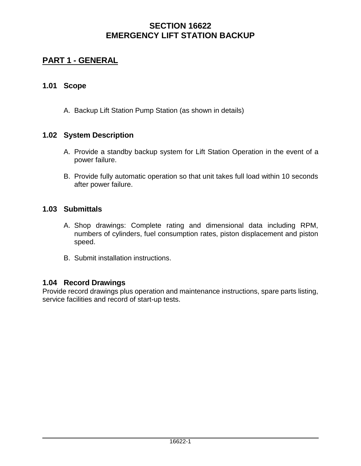# **PART 1 - GENERAL**

### **1.01 Scope**

A. Backup Lift Station Pump Station (as shown in details)

### **1.02 System Description**

- A. Provide a standby backup system for Lift Station Operation in the event of a power failure.
- B. Provide fully automatic operation so that unit takes full load within 10 seconds after power failure.

### **1.03 Submittals**

- A. Shop drawings: Complete rating and dimensional data including RPM, numbers of cylinders, fuel consumption rates, piston displacement and piston speed.
- B. Submit installation instructions.

### **1.04 Record Drawings**

Provide record drawings plus operation and maintenance instructions, spare parts listing, service facilities and record of start-up tests.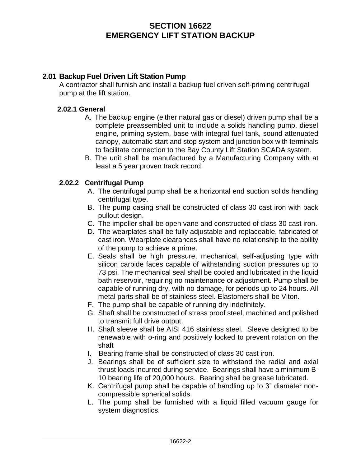### **2.01 Backup Fuel Driven Lift Station Pump**

A contractor shall furnish and install a backup fuel driven self-priming centrifugal pump at the lift station.

#### **2.02.1 General**

- A. The backup engine (either natural gas or diesel) driven pump shall be a complete preassembled unit to include a solids handling pump, diesel engine, priming system, base with integral fuel tank, sound attenuated canopy, automatic start and stop system and junction box with terminals to facilitate connection to the Bay County Lift Station SCADA system.
- B. The unit shall be manufactured by a Manufacturing Company with at least a 5 year proven track record.

#### **2.02.2 Centrifugal Pump**

- A. The centrifugal pump shall be a horizontal end suction solids handling centrifugal type.
- B. The pump casing shall be constructed of class 30 cast iron with back pullout design.
- C. The impeller shall be open vane and constructed of class 30 cast iron.
- D. The wearplates shall be fully adjustable and replaceable, fabricated of cast iron. Wearplate clearances shall have no relationship to the ability of the pump to achieve a prime.
- E. Seals shall be high pressure, mechanical, self-adjusting type with silicon carbide faces capable of withstanding suction pressures up to 73 psi. The mechanical seal shall be cooled and lubricated in the liquid bath reservoir, requiring no maintenance or adjustment. Pump shall be capable of running dry, with no damage, for periods up to 24 hours. All metal parts shall be of stainless steel. Elastomers shall be Viton.
- F. The pump shall be capable of running dry indefinitely.
- G. Shaft shall be constructed of stress proof steel, machined and polished to transmit full drive output.
- H. Shaft sleeve shall be AISI 416 stainless steel. Sleeve designed to be renewable with o-ring and positively locked to prevent rotation on the shaft
- I. Bearing frame shall be constructed of class 30 cast iron.
- J. Bearings shall be of sufficient size to withstand the radial and axial thrust loads incurred during service. Bearings shall have a minimum B-10 bearing life of 20,000 hours. Bearing shall be grease lubricated.
- K. Centrifugal pump shall be capable of handling up to 3" diameter noncompressible spherical solids.
- L. The pump shall be furnished with a liquid filled vacuum gauge for system diagnostics.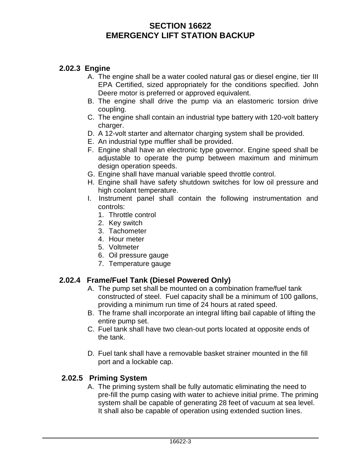## **2.02.3 Engine**

- A. The engine shall be a water cooled natural gas or diesel engine, tier III EPA Certified, sized appropriately for the conditions specified. John Deere motor is preferred or approved equivalent.
- B. The engine shall drive the pump via an elastomeric torsion drive coupling.
- C. The engine shall contain an industrial type battery with 120-volt battery charger.
- D. A 12-volt starter and alternator charging system shall be provided.
- E. An industrial type muffler shall be provided.
- F. Engine shall have an electronic type governor. Engine speed shall be adjustable to operate the pump between maximum and minimum design operation speeds.
- G. Engine shall have manual variable speed throttle control.
- H. Engine shall have safety shutdown switches for low oil pressure and high coolant temperature.
- I. Instrument panel shall contain the following instrumentation and controls:
	- 1. Throttle control
	- 2. Key switch
	- 3. Tachometer
	- 4. Hour meter
	- 5. Voltmeter
	- 6. Oil pressure gauge
	- 7. Temperature gauge

### **2.02.4 Frame/Fuel Tank (Diesel Powered Only)**

- A. The pump set shall be mounted on a combination frame/fuel tank constructed of steel. Fuel capacity shall be a minimum of 100 gallons, providing a minimum run time of 24 hours at rated speed.
- B. The frame shall incorporate an integral lifting bail capable of lifting the entire pump set.
- C. Fuel tank shall have two clean-out ports located at opposite ends of the tank.
- D. Fuel tank shall have a removable basket strainer mounted in the fill port and a lockable cap.

### **2.02.5 Priming System**

A. The priming system shall be fully automatic eliminating the need to pre-fill the pump casing with water to achieve initial prime. The priming system shall be capable of generating 28 feet of vacuum at sea level. It shall also be capable of operation using extended suction lines.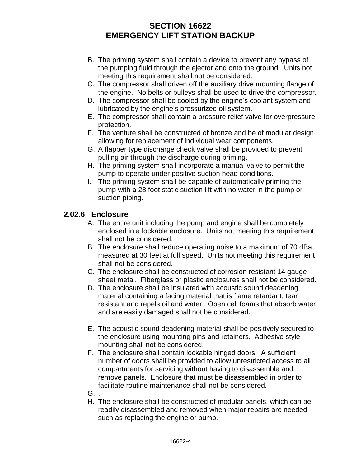- B. The priming system shall contain a device to prevent any bypass of the pumping fluid through the ejector and onto the ground. Units not meeting this requirement shall not be considered.
- C. The compressor shall driven off the auxiliary drive mounting flange of the engine. No belts or pulleys shall be used to drive the compressor.
- D. The compressor shall be cooled by the engine's coolant system and lubricated by the engine's pressurized oil system.
- E. The compressor shall contain a pressure relief valve for overpressure protection.
- F. The venture shall be constructed of bronze and be of modular design allowing for replacement of individual wear components.
- G. A flapper type discharge check valve shall be provided to prevent pulling air through the discharge during priming.
- H. The priming system shall incorporate a manual valve to permit the pump to operate under positive suction head conditions.
- I. The priming system shall be capable of automatically priming the pump with a 28 foot static suction lift with no water in the pump or suction piping.

## **2.02.6 Enclosure**

- A. The entire unit including the pump and engine shall be completely enclosed in a lockable enclosure. Units not meeting this requirement shall not be considered.
- B. The enclosure shall reduce operating noise to a maximum of 70 dBa measured at 30 feet at full speed. Units not meeting this requirement shall not be considered.
- C. The enclosure shall be constructed of corrosion resistant 14 gauge sheet metal. Fiberglass or plastic enclosures shall not be considered.
- D. The enclosure shall be insulated with acoustic sound deadening material containing a facing material that is flame retardant, tear resistant and repels oil and water. Open cell foams that absorb water and are easily damaged shall not be considered.
- E. The acoustic sound deadening material shall be positively secured to the enclosure using mounting pins and retainers. Adhesive style mounting shall not be considered.
- F. The enclosure shall contain lockable hinged doors. A sufficient number of doors shall be provided to allow unrestricted access to all compartments for servicing without having to disassemble and remove panels. Enclosure that must be disassembled in order to facilitate routine maintenance shall not be considered.
- G. .
- H. The enclosure shall be constructed of modular panels, which can be readily disassembled and removed when major repairs are needed such as replacing the engine or pump.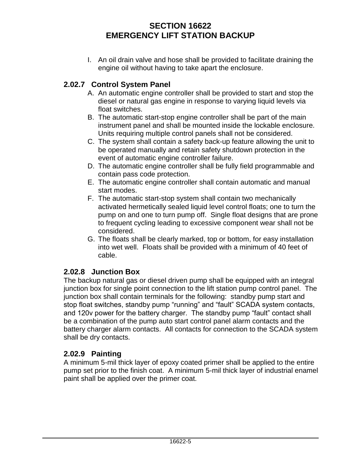I. An oil drain valve and hose shall be provided to facilitate draining the engine oil without having to take apart the enclosure.

## **2.02.7 Control System Panel**

- A. An automatic engine controller shall be provided to start and stop the diesel or natural gas engine in response to varying liquid levels via float switches.
- B. The automatic start-stop engine controller shall be part of the main instrument panel and shall be mounted inside the lockable enclosure. Units requiring multiple control panels shall not be considered.
- C. The system shall contain a safety back-up feature allowing the unit to be operated manually and retain safety shutdown protection in the event of automatic engine controller failure.
- D. The automatic engine controller shall be fully field programmable and contain pass code protection.
- E. The automatic engine controller shall contain automatic and manual start modes.
- F. The automatic start-stop system shall contain two mechanically activated hermetically sealed liquid level control floats; one to turn the pump on and one to turn pump off. Single float designs that are prone to frequent cycling leading to excessive component wear shall not be considered.
- G. The floats shall be clearly marked, top or bottom, for easy installation into wet well. Floats shall be provided with a minimum of 40 feet of cable.

## **2.02.8 Junction Box**

The backup natural gas or diesel driven pump shall be equipped with an integral junction box for single point connection to the lift station pump control panel. The junction box shall contain terminals for the following: standby pump start and stop float switches, standby pump "running" and "fault" SCADA system contacts, and 120v power for the battery charger. The standby pump "fault" contact shall be a combination of the pump auto start control panel alarm contacts and the battery charger alarm contacts. All contacts for connection to the SCADA system shall be dry contacts.

## **2.02.9 Painting**

A minimum 5-mil thick layer of epoxy coated primer shall be applied to the entire pump set prior to the finish coat. A minimum 5-mil thick layer of industrial enamel paint shall be applied over the primer coat.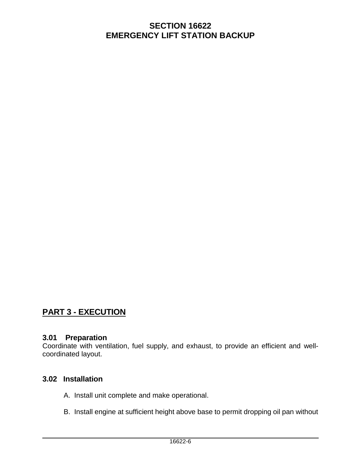# **PART 3 - EXECUTION**

#### **3.01 Preparation**

Coordinate with ventilation, fuel supply, and exhaust, to provide an efficient and wellcoordinated layout.

### **3.02 Installation**

- A. Install unit complete and make operational.
- B. Install engine at sufficient height above base to permit dropping oil pan without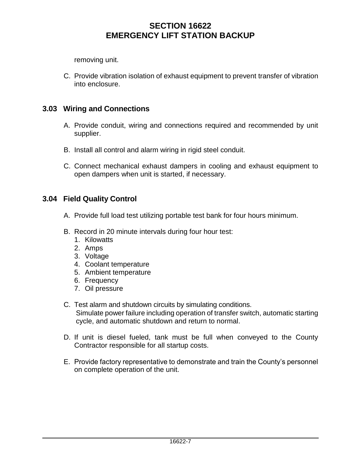removing unit.

C. Provide vibration isolation of exhaust equipment to prevent transfer of vibration into enclosure.

## **3.03 Wiring and Connections**

- A. Provide conduit, wiring and connections required and recommended by unit supplier.
- B. Install all control and alarm wiring in rigid steel conduit.
- C. Connect mechanical exhaust dampers in cooling and exhaust equipment to open dampers when unit is started, if necessary.

### **3.04 Field Quality Control**

- A. Provide full load test utilizing portable test bank for four hours minimum.
- B. Record in 20 minute intervals during four hour test:
	- 1. Kilowatts
	- 2. Amps
	- 3. Voltage
	- 4. Coolant temperature
	- 5. Ambient temperature
	- 6. Frequency
	- 7. Oil pressure
- C. Test alarm and shutdown circuits by simulating conditions. Simulate power failure including operation of transfer switch, automatic starting cycle, and automatic shutdown and return to normal.
- D. If unit is diesel fueled, tank must be full when conveyed to the County Contractor responsible for all startup costs.
- E. Provide factory representative to demonstrate and train the County's personnel on complete operation of the unit.